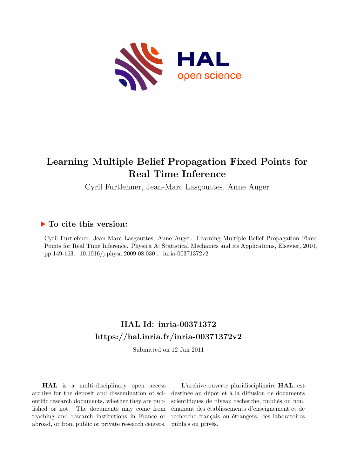

# **Learning Multiple Belief Propagation Fixed Points for Real Time Inference**

Cyril Furtlehner, Jean-Marc Lasgouttes, Anne Auger

## **To cite this version:**

Cyril Furtlehner, Jean-Marc Lasgouttes, Anne Auger. Learning Multiple Belief Propagation Fixed Points for Real Time Inference. Physica A: Statistical Mechanics and its Applications, Elsevier, 2010, pp.149-163.  $10.1016/j.physa.2009.08.030$ . inria-00371372v2

# **HAL Id: inria-00371372 <https://hal.inria.fr/inria-00371372v2>**

Submitted on 12 Jan 2011

**HAL** is a multi-disciplinary open access archive for the deposit and dissemination of scientific research documents, whether they are published or not. The documents may come from teaching and research institutions in France or abroad, or from public or private research centers.

L'archive ouverte pluridisciplinaire **HAL**, est destinée au dépôt et à la diffusion de documents scientifiques de niveau recherche, publiés ou non, émanant des établissements d'enseignement et de recherche français ou étrangers, des laboratoires publics ou privés.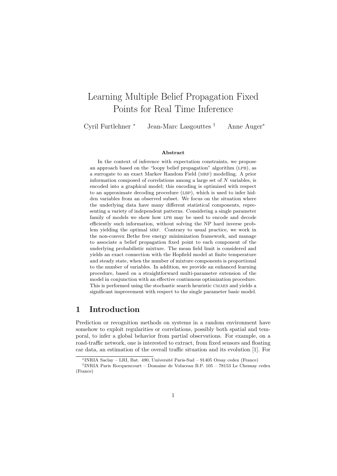# Learning Multiple Belief Propagation Fixed Points for Real Time Inference

Cyril Furtlehner <sup>∗</sup> Jean-Marc Lasgouttes † Anne Auger<sup>∗</sup>

#### Abstract

In the context of inference with expectation constraints, we propose an approach based on the "loopy belief propagation" algorithm (LPB), as a surrogate to an exact Markov Random Field (MRF) modelling. A prior information composed of correlations among a large set of N variables, is encoded into a graphical model; this encoding is optimized with respect to an approximate decoding procedure (LBP), which is used to infer hidden variables from an observed subset. We focus on the situation where the underlying data have many different statistical components, representing a variety of independent patterns. Considering a single parameter family of models we show how LPB may be used to encode and decode efficiently such information, without solving the NP hard inverse problem yielding the optimal MRF. Contrary to usual practice, we work in the non-convex Bethe free energy minimization framework, and manage to associate a belief propagation fixed point to each component of the underlying probabilistic mixture. The mean field limit is considered and yields an exact connection with the Hopfield model at finite temperature and steady state, when the number of mixture components is proportional to the number of variables. In addition, we provide an enhanced learning procedure, based on a straightforward multi-parameter extension of the model in conjunction with an effective continuous optimization procedure. This is performed using the stochastic search heuristic CMAES and yields a significant improvement with respect to the single parameter basic model.

### 1 Introduction

Prediction or recognition methods on systems in a random environment have somehow to exploit regularities or correlations, possibly both spatial and temporal, to infer a global behavior from partial observations. For example, on a road-traffic network, one is interested to extract, from fixed sensors and floating car data, an estimation of the overall traffic situation and its evolution [1]. For

<sup>∗</sup>INRIA Saclay – LRI, Bat. 490, Universit´e Paris-Sud – 91405 Orsay cedex (France)

<sup>†</sup> INRIA Paris Rocquencourt – Domaine de Voluceau B.P. 105 – 78153 Le Chesnay cedex (France)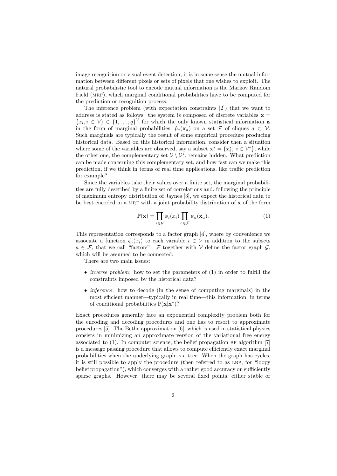image recognition or visual event detection, it is in some sense the mutual information between different pixels or sets of pixels that one wishes to exploit. The natural probabilistic tool to encode mutual information is the Markov Random Field (MRF), which marginal conditional probabilities have to be computed for the prediction or recognition process.

The inference problem (with expectation constraints [2]) that we want to address is stated as follows: the system is composed of discrete variables  $x =$  ${x_i, i \in V} \in \{1, ..., q\}^V$  for which the only known statistical information is in the form of marginal probabilities,  $\hat{p}_a(\mathbf{x}_a)$  on a set  $\mathcal F$  of cliques  $a \subset \mathcal V$ . Such marginals are typically the result of some empirical procedure producing historical data. Based on this historical information, consider then a situation where some of the variables are observed, say a subset  $\mathbf{x}^* = \{x_i^*, i \in \mathcal{V}^*\}$ , while the other one, the complementary set  $\mathcal{V} \setminus \mathcal{V}^*$ , remains hidden. What prediction can be made concerning this complementary set, and how fast can we make this prediction, if we think in terms of real time applications, like traffic prediction for example?

Since the variables take their values over a finite set, the marginal probabilities are fully described by a finite set of correlations and, following the principle of maximum entropy distribution of Jaynes [3], we expect the historical data to be best encoded in a MRF with a joint probability distribution of  $x$  of the form

$$
\mathbb{P}(\mathbf{x}) = \prod_{i \in \mathcal{V}} \phi_i(x_i) \prod_{a \in \mathcal{F}} \psi_a(\mathbf{x}_a). \tag{1}
$$

This representation corresponds to a factor graph [4], where by convenience we associate a function  $\phi_i(x_i)$  to each variable  $i \in \mathcal{V}$  in addition to the subsets  $a \in \mathcal{F}$ , that we call "factors".  $\mathcal F$  together with V define the factor graph  $\mathcal G$ , which will be assumed to be connected.

There are two main issues:

- *inverse problem*: how to set the parameters of (1) in order to fulfill the constraints imposed by the historical data?
- *inference*: how to decode (in the sense of computing marginals) in the most efficient manner—typically in real time—this information, in terms of conditional probabilities  $\mathbb{P}(\mathbf{x}|\mathbf{x}^*)$ ?

Exact procedures generally face an exponential complexity problem both for the encoding and decoding procedures and one has to resort to approximate procedures [5]. The Bethe approximation [6], which is used in statistical physics consists in minimizing an approximate version of the variational free energy associated to  $(1)$ . In computer science, the belief propagation BP algorithm  $[7]$ is a message passing procedure that allows to compute efficiently exact marginal probabilities when the underlying graph is a tree. When the graph has cycles, it is still possible to apply the procedure (then referred to as LBP, for "loopy") belief propagation"), which converges with a rather good accuracy on sufficiently sparse graphs. However, there may be several fixed points, either stable or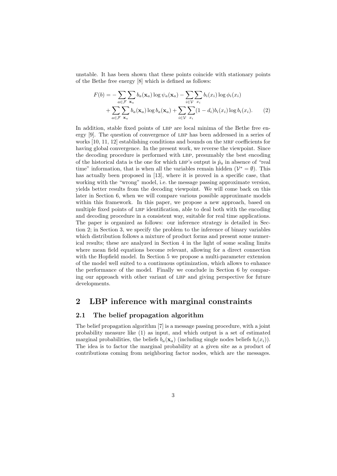unstable. It has been shown that these points coincide with stationary points of the Bethe free energy [8] which is defined as follows:

$$
F(b) = -\sum_{a \in \mathcal{F}} \sum_{\mathbf{x}_a} b_a(\mathbf{x}_a) \log \psi_a(\mathbf{x}_a) - \sum_{i \in \mathcal{V}} \sum_{x_i} b_i(x_i) \log \phi_i(x_i)
$$
  
+ 
$$
\sum_{a \in \mathcal{F}} \sum_{\mathbf{x}_a} b_a(\mathbf{x}_a) \log b_a(\mathbf{x}_a) + \sum_{i \in \mathcal{V}} \sum_{x_i} (1 - d_i) b_i(x_i) \log b_i(x_i).
$$
 (2)

In addition, stable fixed points of LBP are local minima of the Bethe free energy  $[9]$ . The question of convergence of LBP has been addressed in a series of works  $[10, 11, 12]$  establishing conditions and bounds on the MRF coefficients for having global convergence. In the present work, we reverse the viewpoint. Since the decoding procedure is performed with LBP, presumably the best encoding of the historical data is the one for which LBP's output is  $\hat{p}_a$  in absence of "real time" information, that is when all the variables remain hidden  $(\mathcal{V}^* = \emptyset)$ . This has actually been proposed in [13], where it is proved in a specific case, that working with the "wrong" model, i.e. the message passing approximate version, yields better results from the decoding viewpoint. We will come back on this later in Section 6, when we will compare various possible approximate models within this framework. In this paper, we propose a new approach, based on multiple fixed points of LBP identification, able to deal both with the encoding and decoding procedure in a consistent way, suitable for real time applications. The paper is organized as follows: our inference strategy is detailed in Section 2; in Section 3, we specify the problem to the inference of binary variables which distribution follows a mixture of product forms and present some numerical results; these are analyzed in Section 4 in the light of some scaling limits where mean field equations become relevant, allowing for a direct connection with the Hopfield model. In Section 5 we propose a multi-parameter extension of the model well suited to a continuous optimization, which allows to enhance the performance of the model. Finally we conclude in Section 6 by comparing our approach with other variant of LBP and giving perspective for future developments.

## 2 LBP inference with marginal constraints

#### 2.1 The belief propagation algorithm

The belief propagation algorithm [7] is a message passing procedure, with a joint probability measure like (1) as input, and which output is a set of estimated marginal probabilities, the beliefs  $b_a(\mathbf{x}_a)$  (including single nodes beliefs  $b_i(x_i)$ ). The idea is to factor the marginal probability at a given site as a product of contributions coming from neighboring factor nodes, which are the messages.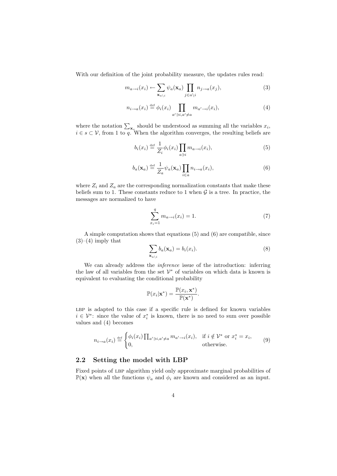With our definition of the joint probability measure, the updates rules read:

$$
m_{a \to i}(x_i) \leftarrow \sum_{\mathbf{x}_{a \setminus i}} \psi_a(\mathbf{x}_a) \prod_{j \in a \setminus i} n_{j \to a}(x_j), \tag{3}
$$

$$
n_{i \to a}(x_i) \stackrel{\text{def}}{=} \phi_i(x_i) \prod_{a' \ni i, a' \neq a} m_{a' \to i}(x_i), \tag{4}
$$

where the notation  $\sum_{\mathbf{x}_s}$  should be understood as summing all the variables  $x_i$ ,  $i \in s \subset V$ , from 1 to q. When the algorithm converges, the resulting beliefs are

$$
b_i(x_i) \stackrel{\text{def}}{=} \frac{1}{Z_i} \phi_i(x_i) \prod_{a \ni i} m_{a \to i}(x_i), \tag{5}
$$

$$
b_a(\mathbf{x}_a) \stackrel{\text{def}}{=} \frac{1}{Z_a} \psi_a(\mathbf{x}_a) \prod_{i \in a} n_{i \to a}(x_i), \tag{6}
$$

where  $Z_i$  and  $Z_a$  are the corresponding normalization constants that make these beliefs sum to 1. These constants reduce to 1 when  $\mathcal G$  is a tree. In practice, the messages are normalized to have

$$
\sum_{x_i=1}^{q} m_{a \to i}(x_i) = 1.
$$
 (7)

A simple computation shows that equations (5) and (6) are compatible, since  $(3)–(4)$  imply that

$$
\sum_{\mathbf{x}_a \setminus i} b_a(\mathbf{x}_a) = b_i(x_i). \tag{8}
$$

We can already address the *inference* issue of the introduction: inferring the law of all variables from the set  $\mathcal{V}^*$  of variables on which data is known is equivalent to evaluating the conditional probability

$$
\mathbb{P}(x_i|\mathbf{x}^*) = \frac{\mathbb{P}(x_i, \mathbf{x}^*)}{\mathbb{P}(\mathbf{x}^*)}.
$$

LBP is adapted to this case if a specific rule is defined for known variables  $i \in \mathcal{V}^*$ : since the value of  $x_i^*$  is known, there is no need to sum over possible values and (4) becomes

$$
n_{i \to a}(x_i) \stackrel{\text{def}}{=} \begin{cases} \phi_i(x_i) \prod_{a' \ni i, a' \neq a} m_{a' \to i}(x_i), & \text{if } i \notin \mathcal{V}^* \text{ or } x_i^* = x_i, \\ 0, & \text{otherwise.} \end{cases} \tag{9}
$$

#### 2.2 Setting the model with LBP

Fixed points of LBP algorithm yield only approximate marginal probabilities of  $\mathbb{P}(\mathbf{x})$  when all the functions  $\psi_a$  and  $\phi_i$  are known and considered as an input.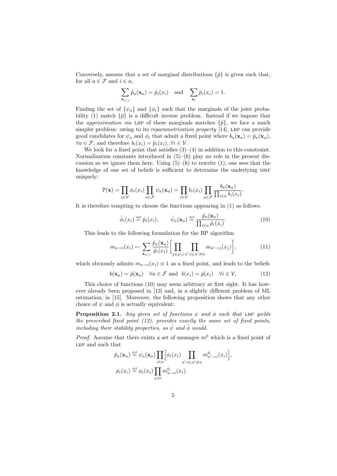Conversely, assume that a set of marginal distributions  $\{\hat{p}\}\$ is given such that, for all  $a \in \mathcal{F}$  and  $i \in a$ ,

$$
\sum_{\mathbf{x}_a \setminus i} \hat{p}_a(\mathbf{x}_a) = \hat{p}_i(x_i) \text{ and } \sum_{\mathbf{x}_i} \hat{p}_i(x_i) = 1.
$$

Finding the set of  $\{\psi_a\}$  and  $\{\phi_i\}$  such that the marginals of the joint probability (1) match  $\{\hat{p}\}\$ is a difficult inverse problem. Instead if we impose that the *approximation via* LBP of these marginals matches  $\{\hat{p}\}\$ , we face a much simpler problem: owing to its *reparametrization property* [14], LBP can provide good candidates for  $\psi_a$  and  $\phi_i$  that admit a fixed point where  $b_a(\mathbf{x}_a) = \hat{p}_a(\mathbf{x}_a)$ ,  $\forall a \in \mathcal{F}$ , and therefore  $b_i(x_i) = \hat{p}_i(x_i)$ ,  $\forall i \in \mathcal{V}$ .

We look for a fixed point that satisfies  $(3)$ – $(4)$  in addition to this constraint. Normalization constants introduced in  $(5)-(6)$  play no role in the present discussion so we ignore them here. Using  $(5)-(6)$  to rewrite  $(1)$ , one sees that the knowledge of one set of beliefs is sufficient to determine the underlying MRF uniquely:

$$
\mathbb{P}(\mathbf{x}) = \prod_{i \in \mathcal{V}} \phi_i(x_i) \prod_{a \in \mathcal{F}} \psi_a(\mathbf{x}_a) = \prod_{i \in \mathcal{V}} b_i(x_i) \prod_{a \in \mathcal{F}} \frac{b_a(\mathbf{x}_a)}{\prod_{i \in a} b_i(x_i)}.
$$

It is therefore tempting to choose the functions appearing in (1) as follows.

$$
\hat{\phi}_i(x_i) \stackrel{\text{def}}{=} \hat{p}_i(x_i), \qquad \hat{\psi}_a(\mathbf{x}_a) \stackrel{\text{def}}{=} \frac{\hat{p}_a(\mathbf{x}_a)}{\prod_{i \in a} \hat{p}_i(x_i)}.
$$
(10)

This leads to the following formulation for the BP algorithm

$$
m_{a\to i}(x_i) \leftarrow \sum_{\mathbf{x}_{a\backslash i}} \frac{\hat{p}_a(\mathbf{x}_a)}{\hat{p}_i(x_i)} \bigg[ \prod_{j \in a\backslash i} \prod_{a'\ni j, a'\neq a} m_{a'\to j}(x_j) \bigg],\tag{11}
$$

which obviously admits  $m_{a\rightarrow i}(x_i) \equiv 1$  as a fixed point, and leads to the beliefs

$$
b(\mathbf{x}_a) = \hat{p}(\mathbf{x}_a) \quad \forall a \in \mathcal{F} \text{ and } b(x_i) = \hat{p}(x_i) \quad \forall i \in \mathcal{V}, \tag{12}
$$

This choice of functions (10) may seem arbitrary at first sight. It has however already been proposed in [13] and, in a slightly different problem of ML estimation, in [15]. Moreover, the following proposition shows that any other choice of  $\psi$  and  $\phi$  is actually equivalent:

**Proposition 2.1.** Any given set of functions  $\psi$  and  $\phi$  such that LBP yields the prescribed fixed point (12), provides exactly the same set of fixed points, including their stability properties, as  $\hat{\psi}$  and  $\hat{\phi}$  would.

*Proof.* Assume that there exists a set of messages  $m^0$  which is a fixed point of LBP and such that

$$
\hat{p}_a(\mathbf{x}_a) \stackrel{\text{def}}{=} \psi_a(\mathbf{x}_a) \prod_{i \in a} \Big[ \phi_i(x_i) \prod_{a' \ni i, a' \neq a} m_{a' \to i}^0(x_i) \Big],
$$
  

$$
\hat{p}_i(x_i) \stackrel{\text{def}}{=} \phi_i(x_i) \prod_{a \ni i} m_{a \to i}^0(x_i).
$$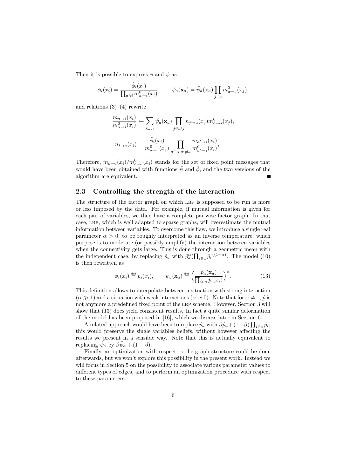Then it is possible to express  $\phi$  and  $\psi$  as

$$
\phi_i(x_i) = \frac{\hat{\phi}_i(x_i)}{\prod_{a \ni i} m_{a \to i}^0(x_i)}, \qquad \psi_a(\mathbf{x}_a) = \hat{\psi}_a(\mathbf{x}_a) \prod_{j \in a} m_{a \to j}^0(x_j),
$$

and relations  $(3)-(4)$  rewrite

$$
\frac{m_{a\to i}(x_i)}{m_{a\to i}^0(x_i)} \leftarrow \sum_{\mathbf{x}_{a\backslash i}} \hat{\psi}_a(\mathbf{x}_a) \prod_{j \in a\backslash i} n_{j\to a}(x_j) m_{a\to j}^0(x_j),
$$
  

$$
n_{i\to a}(x_i) = \frac{\hat{\phi}_i(x_i)}{m_{a\to j}^0(x_j)} \prod_{a'\ni i, a'\neq a} \frac{m_{a'\to i}(x_i)}{m_{a'\to i}^0(x_i)},
$$

Therefore,  $m_{a\rightarrow i}(x_i)/m_{a\rightarrow i}^0(x_i)$  stands for the set of fixed point messages that would have been obtained with functions  $\hat{\psi}$  and  $\hat{\phi}$ , and the two versions of the algorithm are equivalent.

#### 2.3 Controlling the strength of the interaction

The structure of the factor graph on which LBP is supposed to be run is more or less imposed by the data. For example, if mutual information is given for each pair of variables, we then have a complete pairwise factor graph. In that case, lbp, which is well adapted to sparse graphs, will overestimate the mutual information between variables. To overcome this flaw, we introduce a single real parameter  $\alpha > 0$ , to be roughly interpreted as an inverse temperature, which purpose is to moderate (or possibly amplify) the interaction between variables when the connectivity gets large. This is done through a geometric mean with the independent case, by replacing  $\hat{p}_a$  with  $\hat{p}_a^{\alpha}(\prod_{i \in a} \hat{p}_i)^{(1-\alpha)}$ . The model (10) is then rewritten as

$$
\phi_i(x_i) \stackrel{\text{def}}{=} \hat{p}_i(x_i), \qquad \psi_a(\mathbf{x}_a) \stackrel{\text{def}}{=} \left(\frac{\hat{p}_a(\mathbf{x}_a)}{\prod_{i \in a} \hat{p}_i(x_i)}\right)^\alpha. \tag{13}
$$

This definition allows to interpolate between a situation with strong interaction  $(\alpha \gg 1)$  and a situation with weak interactions  $(\alpha \simeq 0)$ . Note that for  $\alpha \neq 1$ ,  $\hat{p}$  is not anymore a predefined fixed point of the LBP scheme. However, Section 3 will show that (13) does yield consistent results. In fact a quite similar deformation of the model has been proposed in [16], which we discuss later in Section 6.

A related approach would have been to replace  $\hat{p}_a$  with  $\beta \hat{p}_a + (1-\beta) \prod_{i \in a} \hat{p}_i$ ; this would preserve the single variables beliefs, without however affecting the results we present in a sensible way. Note that this is actually equivalent to replacing  $\hat{\psi}_a$  by  $\beta \hat{\psi}_a + (1 - \beta)$ .

Finally, an optimization with respect to the graph structure could be done afterwards, but we won't explore this possibility in the present work. Instead we will focus in Section 5 on the possibility to associate various parameter values to different types of edges, and to perform an optimization procedure with respect to these parameters.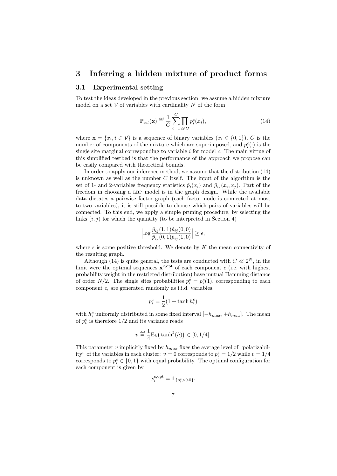### 3 Inferring a hidden mixture of product forms

#### 3.1 Experimental setting

To test the ideas developed in the previous section, we assume a hidden mixture model on a set  $V$  of variables with cardinality N of the form

$$
\mathbb{P}_{\text{ref}}(\mathbf{x}) \stackrel{\text{def}}{=} \frac{1}{C} \sum_{c=1}^{C} \prod_{i \in \mathcal{V}} p_i^c(x_i), \tag{14}
$$

where  $\mathbf{x} = \{x_i, i \in \mathcal{V}\}\$ is a sequence of binary variables  $(x_i \in \{0, 1\})$ , C is the number of components of the mixture which are superimposed, and  $p_i^c(\cdot)$  is the single site marginal corresponding to variable  $i$  for model  $c$ . The main virtue of this simplified testbed is that the performance of the approach we propose can be easily compared with theoretical bounds.

In order to apply our inference method, we assume that the distribution (14) is unknown as well as the number  $C$  itself. The input of the algorithm is the set of 1- and 2-variables frequency statistics  $\hat{p}_i(x_i)$  and  $\hat{p}_{ij}(x_i, x_j)$ . Part of the freedom in choosing a LBP model is in the graph design. While the available data dictates a pairwise factor graph (each factor node is connected at most to two variables), it is still possible to choose which pairs of variables will be connected. To this end, we apply a simple pruning procedure, by selecting the links  $(i, j)$  for which the quantity (to be interpreted in Section 4)

$$
\left|\log \frac{\hat{p}_{ij}(1,1)\hat{p}_{ij}(0,0)}{\hat{p}_{ij}(0,1)\hat{p}_{ij}(1,0)}\right| \geq \epsilon,
$$

where  $\epsilon$  is some positive threshold. We denote by K the mean connectivity of the resulting graph.

Although (14) is quite general, the tests are conducted with  $C \ll 2^N$ , in the limit were the optimal sequences  $\mathbf{x}^{c, \text{opt}}$  of each component c (i.e. with highest probability weight in the restricted distribution) have mutual Hamming distance of order  $N/2$ . The single sites probabilities  $p_i^c = p_i^c(1)$ , corresponding to each component c, are generated randomly as i.i.d. variables,

$$
p_i^c = \frac{1}{2}(1 + \tanh h_i^c)
$$

with  $h_i^c$  uniformly distributed in some fixed interval  $[-h_{max}, +h_{max}]$ . The mean % of  $p_i^c$  is therefore  $1/2$  and its variance reads

$$
v \stackrel{\text{def}}{=} \frac{1}{4} \mathbb{E}_h \big( \tanh^2(h) \big) \in [0, 1/4].
$$

This parameter v implicitly fixed by  $h_{max}$  fixes the average level of "polarizability" of the variables in each cluster:  $v = 0$  corresponds to  $p_i^c = 1/2$  while  $v = 1/4$ corresponds to  $p_i^c \in \{0, 1\}$  with equal probability. The optimal configuration for each component is given by

$$
x_i^{c,\text{opt}} = \mathbb{1}_{\{p_i^c > 0.5\}}.
$$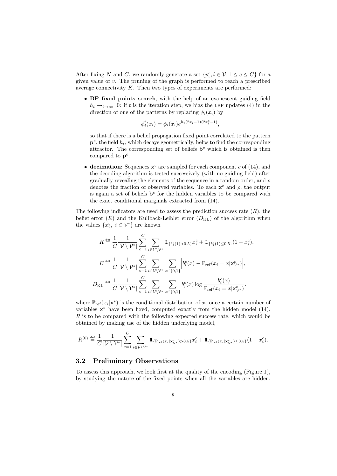After fixing N and C, we randomly generate a set  $\{p_i^c, i \in \mathcal{V}, 1 \le c \le C\}$  for a given value of v. The pruning of the graph is performed to reach a prescribed average connectivity  $K$ . Then two types of experiments are performed:

• BP fixed points search, with the help of an evanescent guiding field  $h_t \rightarrow_{t\rightarrow\infty} 0$ : if t is the iteration step, we bias the LBP updates (4) in the direction of one of the patterns by replacing  $\phi_i(x_i)$  by

$$
\phi_i^t(x_i) = \phi_i(x_i) e^{h_t(2x_i - 1)(2x_i^c - 1)},
$$

so that if there is a belief propagation fixed point correlated to the pattern  $\mathbf{p}^c$ , the field  $h_t$ , which decays geometrically, helps to find the corresponding attractor. The corresponding set of beliefs  $\mathbf{b}^c$  which is obtained is then compared to  $p^c$ .

• decimation: Sequences  $x^c$  are sampled for each component c of (14), and the decoding algorithm is tested successively (with no guiding field) after gradually revealing the elements of the sequence in a random order, and  $\rho$ denotes the fraction of observed variables. To each  $x^c$  and  $\rho$ , the output is again a set of beliefs  $\mathbf{b}^c$  for the hidden variables to be compared with the exact conditional marginals extracted from (14).

The following indicators are used to assess the prediction success rate  $(R)$ , the belief error  $(E)$  and the Kullback-Leibler error  $(D_{\text{KL}})$  of the algorithm when the values  $\{x_i^c, i \in \mathcal{V}^*\}$  are known

$$
R \stackrel{\text{def}}{=} \frac{1}{C} \frac{1}{|\mathcal{V} \setminus \mathcal{V}^*|} \sum_{c=1}^C \sum_{i \in \mathcal{V} \setminus \mathcal{V}^*} 1\!\!1_{\{b_i^c(1) > 0.5\}} x_i^c + 1\!\!1_{\{b_i^c(1) \le 0.5\}} (1 - x_i^c),
$$
\n
$$
E \stackrel{\text{def}}{=} \frac{1}{C} \frac{1}{|\mathcal{V} \setminus \mathcal{V}^*|} \sum_{c=1}^C \sum_{i \in \mathcal{V} \setminus \mathcal{V}^*} \sum_{x \in \{0,1\}} \left| b_i^c(x) - \mathbb{P}_{\text{ref}}(x_i = x | \mathbf{x}_{\mathcal{V}^*}^c) \right|,
$$
\n
$$
D_{\text{KL}} \stackrel{\text{def}}{=} \frac{1}{C} \frac{1}{|\mathcal{V} \setminus \mathcal{V}^*|} \sum_{c=1}^C \sum_{i \in \mathcal{V} \setminus \mathcal{V}^*} \sum_{x \in \{0,1\}} b_i^c(x) \log \frac{b_i^c(x)}{\mathbb{P}_{\text{ref}}(x_i = x | \mathbf{x}_{\mathcal{V}^*}^c)}.
$$

where  $\mathbb{P}_{\text{ref}}(x_i|\mathbf{x}^*)$  is the conditional distribution of  $x_i$  once a certain number of variables  $x^*$  have been fixed, computed exactly from the hidden model  $(14)$ .  $R$  is to be compared with the following expected success rate, which would be obtained by making use of the hidden underlying model,

$$
R^{(0)} \stackrel{\text{def}}{=} \frac{1}{C} \frac{1}{|\mathcal{V} \setminus \mathcal{V}^*|} \sum_{c=1}^C \sum_{i \in \mathcal{V} \setminus \mathcal{V}^*} \mathbb{1}_{\{\mathbb{P}_{\text{ref}}(x_i | \mathbf{x}_{\mathcal{V}^*}^c) > 0.5\}} x_i^c + \mathbb{1}_{\{\mathbb{P}_{\text{ref}}(x_i | \mathbf{x}_{\mathcal{V}^*}^c) \le 0.5\}} (1 - x_i^c).
$$

#### 3.2 Preliminary Observations

To assess this approach, we look first at the quality of the encoding (Figure 1), by studying the nature of the fixed points when all the variables are hidden.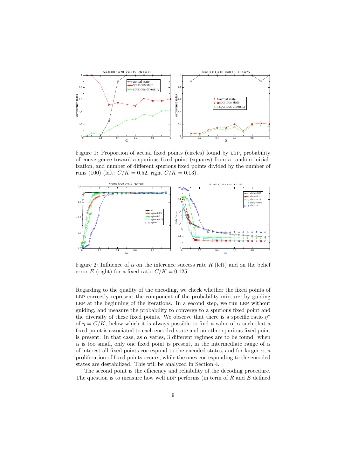

Figure 1: Proportion of actual fixed points (circles) found by LBP, probability of convergence toward a spurious fixed point (squares) from a random initialization, and number of different spurious fixed points divided by the number of runs (100) (left:  $C/K = 0.52$ , right  $C/K = 0.13$ ).



Figure 2: Influence of  $\alpha$  on the inference success rate R (left) and on the belief error E (right) for a fixed ratio  $C/K = 0.125$ .

Regarding to the quality of the encoding, we check whether the fixed points of LBP correctly represent the component of the probability mixture, by guiding LBP at the beginning of the iterations. In a second step, we run LBP without guiding, and measure the probability to converge to a spurious fixed point and the diversity of these fixed points. We observe that there is a specific ratio  $\eta^*$ of  $\eta = C/K$ , below which it is always possible to find a value of  $\alpha$  such that a fixed point is associated to each encoded state and no other spurious fixed point is present. In that case, as  $\alpha$  varies, 3 different regimes are to be found: when  $\alpha$  is too small, only one fixed point is present, in the intermediate range of  $\alpha$ of interest all fixed points correspond to the encoded states, and for larger  $\alpha$ , a proliferation of fixed points occurs, while the ones corresponding to the encoded states are destabilized. This will be analyzed in Section 4.

The second point is the efficiency and reliability of the decoding procedure. The question is to measure how well LBP performs (in term of  $R$  and  $E$  defined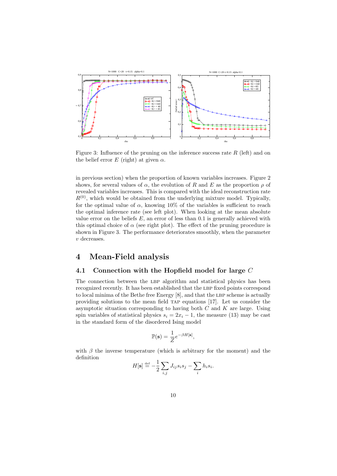

Figure 3: Influence of the pruning on the inference success rate  $R$  (left) and on the belief error  $E$  (right) at given  $\alpha$ .

in previous section) when the proportion of known variables increases. Figure 2 shows, for several values of  $\alpha$ , the evolution of R and E as the proportion  $\rho$  of revealed variables increases. This is compared with the ideal reconstruction rate  $R^{(0)}$ , which would be obtained from the underlying mixture model. Typically, for the optimal value of  $\alpha$ , knowing 10% of the variables is sufficient to reach the optimal inference rate (see left plot). When looking at the mean absolute value error on the beliefs  $E$ , an error of less than 0.1 is generally achieved with this optimal choice of  $\alpha$  (see right plot). The effect of the pruning procedure is shown in Figure 3. The performance deteriorates smoothly, when the parameter v decreases.

## 4 Mean-Field analysis

#### 4.1 Connection with the Hopfield model for large C

The connection between the LBP algorithm and statistical physics has been recognized recently. It has been established that the LBP fixed points correspond to local minima of the Bethe free Energy  $[8]$ , and that the LBP scheme is actually providing solutions to the mean field tap equations [17]. Let us consider the asymptotic situation corresponding to having both  $C$  and  $K$  are large. Using spin variables of statistical physics  $s_i = 2x_i - 1$ , the measure (13) may be cast in the standard form of the disordered Ising model

$$
\mathbb{P}(\mathbf{s}) = \frac{1}{Z} e^{-\beta H[\mathbf{s}]},
$$

with  $\beta$  the inverse temperature (which is arbitrary for the moment) and the definition

$$
H[\mathbf{s}] \stackrel{\text{def}}{=} -\frac{1}{2} \sum_{i,j} J_{ij} s_i s_j - \sum_i h_i s_i.
$$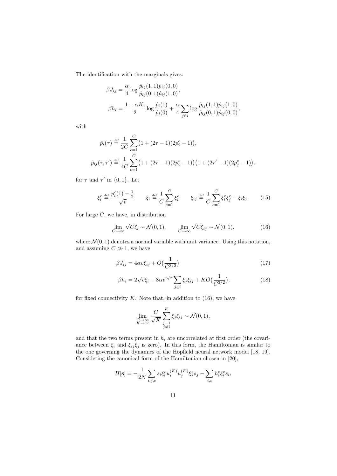The identification with the marginals gives:

$$
\beta J_{ij} = \frac{\alpha}{4} \log \frac{\hat{p}_{ij}(1,1)\hat{p}_{ij}(0,0)}{\hat{p}_{ij}(0,1)\hat{p}_{ij}(1,0)},
$$
  

$$
\beta h_i = \frac{1 - \alpha K_i}{2} \log \frac{\hat{p}_i(1)}{\hat{p}_i(0)} + \frac{\alpha}{4} \sum_{j \in i} \log \frac{\hat{p}_{ij}(1,1)\hat{p}_{ij}(1,0)}{\hat{p}_{ij}(0,1)\hat{p}_{ij}(0,0)},
$$

with

$$
\hat{p}_i(\tau) \stackrel{\text{def}}{=} \frac{1}{2C} \sum_{c=1}^C \left(1 + (2\tau - 1)(2p_i^c - 1)\right),
$$
\n
$$
\hat{p}_{ij}(\tau, \tau') \stackrel{\text{def}}{=} \frac{1}{4C} \sum_{c=1}^C \left(1 + (2\tau - 1)(2p_i^c - 1)\right) \left(1 + (2\tau' - 1)(2p_j^c - 1)\right).
$$

for  $\tau$  and  $\tau'$  in  $\{0,1\}$ . Let

$$
\xi_i^c \stackrel{\text{def}}{=} \frac{p_i^c(1) - \frac{1}{2}}{\sqrt{v}} \qquad \xi_i \stackrel{\text{def}}{=} \frac{1}{C} \sum_{c=1}^C \xi_i^c \qquad \xi_{ij} \stackrel{\text{def}}{=} \frac{1}{C} \sum_{c=1}^C \xi_i^c \xi_j^c - \xi_i \xi_j. \tag{15}
$$

For large  $C$ , we have, in distribution

$$
\lim_{C \to \infty} \sqrt{C} \xi_i \sim \mathcal{N}(0, 1), \qquad \lim_{C \to \infty} \sqrt{C} \xi_{ij} \sim \mathcal{N}(0, 1). \tag{16}
$$

where  $\mathcal{N}(0, 1)$  denotes a normal variable with unit variance. Using this notation, and assuming  $C \gg 1$ , we have

$$
\beta J_{ij} = 4\alpha v \xi_{ij} + O\left(\frac{1}{C^{3/2}}\right) \tag{17}
$$

$$
\beta h_i = 2\sqrt{v}\xi_i - 8\alpha v^{3/2} \sum_{j \in i} \xi_j \xi_{ij} + KO\left(\frac{1}{C^{3/2}}\right). \tag{18}
$$

for fixed connectivity  $K$ . Note that, in addition to  $(16)$ , we have

$$
\lim_{\substack{C \to \infty \\ K \to \infty}} \frac{C}{\sqrt{K}} \sum_{\substack{j=1 \\ j \neq i}}^K \xi_j \xi_{ij} \sim \mathcal{N}(0, 1),
$$

and that the two terms present in  $h_i$  are uncorrelated at first order (the covariance between  $\xi_i$  and  $\xi_{ij}\xi_j$  is zero). In this form, the Hamiltonian is similar to the one governing the dynamics of the Hopfield neural network model [18, 19]. Considering the canonical form of the Hamiltonian chosen in [20],

$$
H[\mathbf{s}] = -\frac{1}{2N} \sum_{i,j,c} s_i \xi_i^c u_i^{(K)} u_j^{(K)} \xi_j^c s_j - \sum_{i,c} h_i^c \xi_i^c s_i,
$$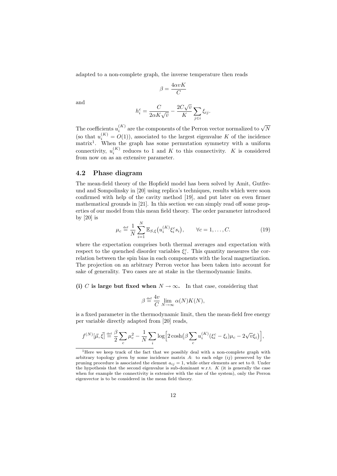adapted to a non-complete graph, the inverse temperature then reads

$$
\beta = \frac{4\alpha vK}{C}
$$

and

$$
h_i^c = \frac{C}{2\alpha K\sqrt{v}} - \frac{2C\sqrt{v}}{K} \sum_{j \in i} \xi_{ij}.
$$

The coefficients  $u_i^{(K)}$  are the components of the Perron vector normalized to  $\sqrt{N}$ (so that  $u_i^{(K)} = O(1)$ ), associated to the largest eigenvalue K of the incidence matrix<sup>1</sup>. When the graph has some permutation symmetry with a uniform connectivity,  $u_i^{(K)}$  reduces to 1 and K to this connectivity. K is considered from now on as an extensive parameter.

#### 4.2 Phase diagram

The mean-field theory of the Hopfield model has been solved by Amit, Gutfreund and Sompolinsky in [20] using replica's techniques, results which were soon confirmed with help of the cavity method [19], and put later on even firmer mathematical grounds in [21]. In this section we can simply read off some properties of our model from this mean field theory. The order parameter introduced by [20] is

$$
\mu_c \stackrel{\text{def}}{=} \frac{1}{N} \sum_{i=1}^N \mathbb{E}_{S,\xi} \big( u_i^{(K)} \xi_i^c s_i \big), \qquad \forall c = 1, \dots, C. \tag{19}
$$

where the expectation comprises both thermal averages and expectation with respect to the quenched disorder variables  $\xi_i^c$ . This quantity measures the correlation between the spin bias in each components with the local magnetization. The projection on an arbitrary Perron vector has been taken into account for sake of generality. Two cases are at stake in the thermodynamic limits.

(i) C is large but fixed when  $N \to \infty$ . In that case, considering that

$$
\beta \stackrel{\text{def}}{=} \frac{4v}{C} \lim_{N \to \infty} \alpha(N) K(N),
$$

is a fixed parameter in the thermodynamic limit, then the mean-field free energy per variable directly adapted from [20] reads,

$$
f^{(N)}[\vec{\mu},\vec{\xi}] \stackrel{\text{def}}{=} \frac{\beta}{2} \sum_c \mu_c^2 - \frac{1}{N} \sum_i \log \Big[ 2 \cosh \big( \beta \sum_c u_i^{(K)} (\xi_i^c - \xi_i) \mu_c - 2 \sqrt{v} \xi_i \big) \Big],
$$

<sup>&</sup>lt;sup>1</sup>Here we keep track of the fact that we possibly deal with a non-complete graph with arbitrary topology given by some incidence matrix  $A$ : to each edge  $(i)$  preserved by the pruning procedure is associated the element  $a_{ij} = 1$ , while other elements are set to 0. Under the hypothesis that the second eigenvalue is sub-dominant w.r.t.  $K$  (it is generally the case when for example the connectivity is extensive with the size of the system), only the Perron eigenvector is to be considered in the mean field theory.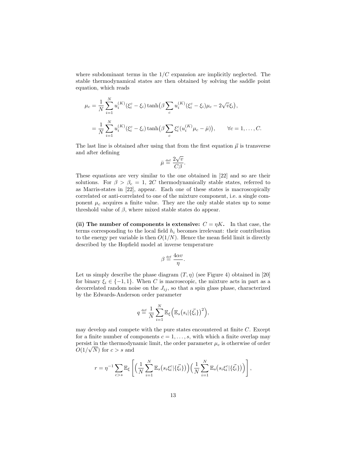where subdominant terms in the  $1/C$  expansion are implicitly neglected. The stable thermodynamical states are then obtained by solving the saddle point equation, which reads

 $\ddot{x}$ 

$$
\mu_c = \frac{1}{N} \sum_{i=1}^N u_i^{(K)} (\xi_i^c - \xi_i) \tanh(\beta \sum_c u_i^{(K)} (\xi_i^c - \xi_i) \mu_c - 2\sqrt{v} \xi_i),
$$
  
= 
$$
\frac{1}{N} \sum_{i=1}^N u_i^{(K)} (\xi_i^c - \xi_i) \tanh(\beta \sum_c \xi_i^c (u_i^{(K)} \mu_c - \bar{\mu})), \qquad \forall c = 1, ..., C.
$$

The last line is obtained after using that from the first equation  $\vec{\mu}$  is transverse and after defining

$$
\bar{\mu} \stackrel{\text{def}}{=} \frac{2\sqrt{v}}{C\beta}.
$$

These equations are very similar to the one obtained in [22] and so are their solutions. For  $\beta > \beta_c = 1$ , 2C thermodynamically stable states, referred to as Marris-states in [22], appear. Each one of these states is macroscopically correlated or anti-correlated to one of the mixture component, i.e. a single component  $\mu_c$  acquires a finite value. They are the only stable states up to some threshold value of  $\beta$ , where mixed stable states do appear.

(ii) The number of components is extensive:  $C = \eta K$ . In that case, the terms corresponding to the local field  $h_i$  becomes irrelevant: their contribution to the energy per variable is then  $O(1/N)$ . Hence the mean field limit is directly described by the Hopfield model at inverse temperature

$$
\beta \stackrel{\text{\tiny def}}{=} \frac{4\alpha v}{\eta}.
$$

Let us simply describe the phase diagram  $(T, \eta)$  (see Figure 4) obtained in [20] for binary  $\xi_i \in \{-1,1\}$ . When C is macroscopic, the mixture acts in part as a decorrelated random noise on the  $J_{ij}$ , so that a spin glass phase, characterized by the Edwards-Anderson order parameter

$$
q \stackrel{\text{def}}{=} \frac{1}{N} \sum_{i=1}^{N} \mathbb{E}_{\xi} \Big( \mathbb{E}_{s} \big( s_i | \{\vec{\xi}_i\} \big)^2 \Big),
$$

may develop and compete with the pure states encountered at finite  $C$ . Except for a finite number of components  $c = 1, \ldots, s$ , with which a finite overlap may persist in the thermodynamic limit, the order parameter  $\mu_c$  is otherwise of order  $O(1/\sqrt{N})$  for  $c > s$  and

$$
r = \eta^{-1} \sum_{c > s} \mathbb{E}_{\xi} \left[ \left( \frac{1}{N} \sum_{i=1}^{N} \mathbb{E}_{s} \left( s_{i} \xi_{i}^{c} | \{\vec{\xi}_{i}\} \right) \right) \left( \frac{1}{N} \sum_{i=1}^{N} \mathbb{E}_{s} \left( s_{i} \xi_{i}^{c} | \{\vec{\xi}_{i}\} \right) \right) \right],
$$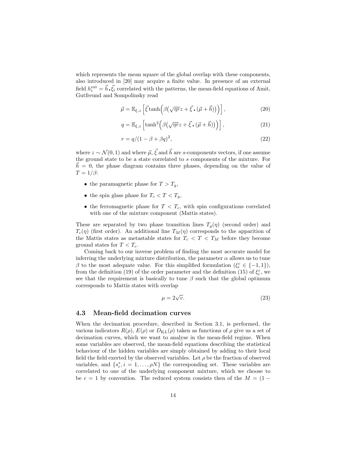which represents the mean square of the global overlap with these components, also introduced in [20] may acquire a finite value. In presence of an external field  $h_i^{\text{ext}} = \vec{h} \cdot \vec{\xi}_i$  correlated with the patterns, the mean-field equations of Amit, Gutfreund and Sompolinsky read

$$
\vec{\mu} = \mathbb{E}_{\xi, z} \left[ \vec{\xi} \tanh \left( \beta \left( \sqrt{\eta r} z + \vec{\xi} \cdot (\vec{\mu} + \vec{h}) \right) \right) \right],\tag{20}
$$

$$
q = \mathbb{E}_{\xi, z} \left[ \tanh^2 \left( \beta \left( \sqrt{\eta r} z + \vec{\xi} \cdot (\vec{\mu} + \vec{h}) \right) \right) \right], \tag{21}
$$

$$
r = q/(1 - \beta + \beta q)^2,\tag{22}
$$

where  $z \sim \mathcal{N}(0, 1)$  and where  $\vec{\mu}, \vec{\xi}$  and  $\vec{h}$  are s-components vectors, if one assume the ground state to be a state correlated to s components of the mixture. For  $h = 0$ , the phase diagram contains three phases, depending on the value of  $T = 1/\beta$ :

- the paramagnetic phase for  $T > T_q$ ,
- the spin glass phase for  $T_c < T < T_a$ ,
- the ferromagnetic phase for  $T < T_c$ , with spin configurations correlated with one of the mixture component (Mattis states).

These are separated by two phase transition lines  $T_q(\eta)$  (second order) and  $T_c(\eta)$  (first order). An additional line  $T_M(\eta)$  corresponds to the apparition of the Mattis states as metastable states for  $T_c < T < T_M$  before they become ground states for  $T < T_c$ .

Coming back to our inverse problem of finding the most accurate model for inferring the underlying mixture distribution, the parameter  $\alpha$  allows us to tune  $\beta$  to the most adequate value. For this simplified formulation  $(\xi_i^c \in \{-1,1\}),$ from the definition (19) of the order parameter and the definition (15) of  $\xi_i^c$ , we see that the requirement is basically to tune  $\beta$  such that the global optimum corresponds to Mattis states with overlap

$$
\mu = 2\sqrt{\nu}.\tag{23}
$$

#### 4.3 Mean-field decimation curves

When the decimation procedure, described in Section 3.1, is performed, the various indicators  $R(\rho)$ ,  $E(\rho)$  or  $D_{KL}(\rho)$  taken as functions of  $\rho$  give us a set of decimation curves, which we want to analyse in the mean-field regime. When some variables are observed, the mean-field equations describing the statistical behaviour of the hidden variables are simply obtained by adding to their local field the field exerted by the observed variables. Let  $\rho$  be the fraction of observed variables, and  $\{s_i^*, i = 1, \ldots, \rho N\}$  the corresponding set. These variables are correlated to one of the underlying component mixture, which we choose to be  $c = 1$  by convention. The reduced system consists then of the  $M = (1 -$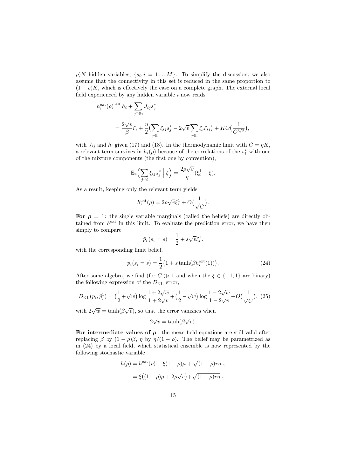$\rho$ )N hidden variables,  $\{s_i, i = 1...M\}$ . To simplify the discussion, we also assume that the connectivity in this set is reduced in the same proportion to  $(1 - \rho)K$ , which is effectively the case on a complete graph. The external local field experienced by any hidden variable  $i$  now reads

$$
h_i^{\text{ext}}(\rho) \stackrel{\text{def}}{=} h_i + \sum_{j^* \in i} J_{ij} s_j^*
$$
  
= 
$$
\frac{2\sqrt{v}}{\beta} \xi_i + \frac{\eta}{2} \left( \sum_{j \in i} \xi_{ij} s_j^* - 2\sqrt{v} \sum_{j \in i} \xi_j \xi_{ij} \right) + KO\left(\frac{1}{C^{3/2}}\right),
$$

with  $J_{ij}$  and  $h_i$  given (17) and (18). In the thermodynamic limit with  $C = \eta K$ , a relevant term survives in  $h_i(\rho)$  because of the correlations of the  $s_i^*$  with one of the mixture components (the first one by convention),

$$
\mathbb{E}_s\left(\sum_{j\in i}\xi_{ij}s_j^*\,\Big|\,\xi\right)=\frac{2\rho\sqrt{v}}{\eta}(\xi_i^1-\xi).
$$

As a result, keeping only the relevant term yields

$$
h_i^{\text{ext}}(\rho) = 2\rho\sqrt{v}\xi_i^1 + O\left(\frac{1}{\sqrt{C}}\right).
$$

For  $\rho = 1$ : the single variable marginals (called the beliefs) are directly obtained from  $h^{\text{ext}}$  in this limit. To evaluate the prediction error, we have then simply to compare

$$
\hat{p}_i^1(s_i = s) = \frac{1}{2} + s\sqrt{v}\xi_i^1
$$

with the corresponding limit belief,

$$
p_i(s_i = s) = \frac{1}{2} (1 + s \tanh(\beta h_i^{\text{ext}}(1))).
$$
 (24)

.

After some algebra, we find (for  $C \gg 1$  and when the  $\xi \in \{-1,1\}$  are binary) the following expression of the  $D_{KL}$  error,

$$
D_{\text{KL}}(p_i, \hat{p}_i^1) = \left(\frac{1}{2} + \sqrt{w}\right) \log \frac{1 + 2\sqrt{w}}{1 + 2\sqrt{v}} + \left(\frac{1}{2} - \sqrt{w}\right) \log \frac{1 - 2\sqrt{w}}{1 - 2\sqrt{v}} + O\left(\frac{1}{\sqrt{C}}\right), (25)
$$

with  $2\sqrt{w} = \tanh(\beta\sqrt{v})$ , so that the error vanishes when

$$
2\sqrt{v} = \tanh(\beta\sqrt{v}).
$$

For intermediate values of  $\rho$ : the mean field equations are still valid after replacing  $\beta$  by  $(1 - \rho)\beta$ ,  $\eta$  by  $\eta/(1 - \rho)$ . The belief may be parametrized as in (24) by a local field, which statistical ensemble is now represented by the following stochastic variable

$$
h(\rho) = h^{\text{ext}}(\rho) + \xi (1 - \rho)\mu + \sqrt{(1 - \rho)r\eta}z,
$$
  
= 
$$
\xi \big( (1 - \rho)\mu + 2\rho\sqrt{v} \big) + \sqrt{(1 - \rho)r\eta}z,
$$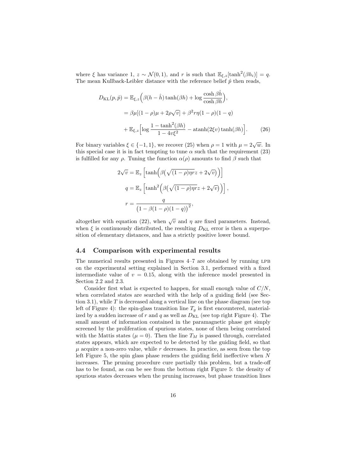where  $\xi$  has variance 1,  $z \sim \mathcal{N}(0, 1)$ , and r is such that  $\mathbb{E}_{\xi, z}[\tanh^2(\beta h_i)] = q$ . The mean Kullback-Leibler distance with the reference belief  $\hat{p}$  then reads,

$$
D_{\text{KL}}(p, \hat{p}) = \mathbb{E}_{\xi, z} \left( \beta(h - \hat{h}) \tanh(\beta h) + \log \frac{\cosh \beta \hat{h}}{\cosh \beta h} \right),
$$
  

$$
= \beta \mu [(1 - \rho)\mu + 2\rho \sqrt{v}] + \beta^2 r \eta (1 - \rho)(1 - q)
$$
  

$$
+ \mathbb{E}_{\xi, z} \left[ \log \frac{1 - \tanh^2(\beta h)}{1 - 4v\xi^2} - \operatorname{atanh}(2\xi v) \tanh(\beta h) \right].
$$
 (26)

For binary variables  $\xi \in \{-1, 1\}$ , we recover (25) when  $\rho = 1$  with  $\mu = 2\sqrt{w}$ . In this special case it is in fact tempting to tune  $\alpha$  such that the requirement (23) is fulfilled for any  $\rho$ . Tuning the function  $\alpha(\rho)$  amounts to find  $\beta$  such that

$$
2\sqrt{v} = \mathbb{E}_z \left[ \tanh \left( \beta \left( \sqrt{(1-\rho)\eta r} z + 2\sqrt{v} \right) \right) \right]
$$

$$
q = \mathbb{E}_z \left[ \tanh^2 \left( \beta \left( \sqrt{(1-\rho)\eta r} z + 2\sqrt{v} \right) \right) \right],
$$

$$
r = \frac{q}{\left( 1 - \beta (1-\rho)(1-q) \right)^2},
$$

altogether with equation (22), when  $\sqrt{v}$  and  $\eta$  are fixed parameters. Instead, when  $\xi$  is continuously distributed, the resulting  $D_{\text{KL}}$  error is then a superposition of elementary distances, and has a strictly positive lower bound.

#### 4.4 Comparison with experimental results

The numerical results presented in Figures  $4-7$  are obtained by running LPB on the experimental setting explained in Section 3.1, performed with a fixed intermediate value of  $v = 0.15$ , along with the inference model presented in Section 2.2 and 2.3.

Consider first what is expected to happen, for small enough value of  $C/N$ , when correlated states are searched with the help of a guiding field (see Section 3.1), while  $T$  is decreased along a vertical line on the phase diagram (see top left of Figure 4): the spin-glass transition line  $T_q$  is first encountered, materialized by a sudden increase of r and q as well as  $D_{\text{KL}}$  (see top right Figure 4). The small amount of information contained in the paramagnetic phase get simply screened by the proliferation of spurious states, none of them being correlated with the Mattis states ( $\mu = 0$ ). Then the line  $T_M$  is passed through, correlated states appears, which are expected to be detected by the guiding field, so that  $\mu$  acquire a non-zero value, while r decreases. In practice, as seen from the top left Figure 5, the spin glass phase renders the guiding field ineffective when N increases. The pruning procedure cure partially this problem, but a trade-off has to be found, as can be see from the bottom right Figure 5: the density of spurious states decreases when the pruning increases, but phase transition lines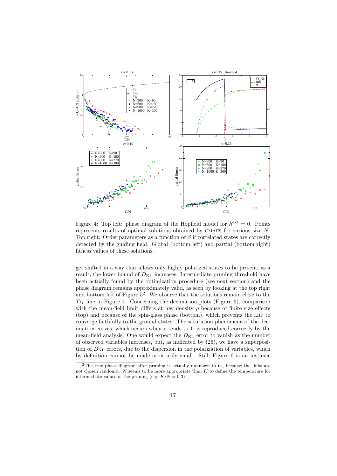

Figure 4: Top left: phase diagram of the Hopfield model for  $h^{\text{ext}} = 0$ . Points represents results of optimal solutions obtained by CMAES for various size  $N$ . Top right: Order parameters as a function of  $\beta$  if correlated states are correctly detected by the guiding field. Global (bottom left) and partial (bottom right) fitness values of these solutions.

get shifted in a way that allows only highly polarized states to be present; as a result, the lower bound of  $D_{\text{KL}}$  increases. Intermediate pruning threshold have been actually found by the optimization procedure (see next section) and the phase diagram remains approximately valid, as seen by looking at the top right and bottom left of Figure  $5^2$ . We observe that the solutions remain close to the  $T_M$  line in Figure 4. Concerning the decimation plots (Figure 6), comparison with the mean-field limit differs at low density  $\rho$  because of finite size effects (top) and because of the spin-glass phase (bottom), which prevents the lbp to converge faithfully to the ground states. The saturation phenomena of the decimation curves, which occurs when  $\rho$  tends to 1, is reproduced correctly by the mean-field analysis. One would expect the  $D_{\text{KL}}$  error to vanish as the number of observed variables increases, but, as indicated by (26), we have a superposition of  $D_{\text{KL}}$  errors, due to the dispersion in the polarization of variables, which by definition cannot be made arbitrarily small. Still, Figure 6 is an instance

<sup>&</sup>lt;sup>2</sup>The true phase diagram after pruning is actually unknown to us, because the links are not chosen randomly.  $N$  seems to be more appropriate than K to define the temperature for intermediate values of the pruning (e.g.  $K/N = 0.3$ )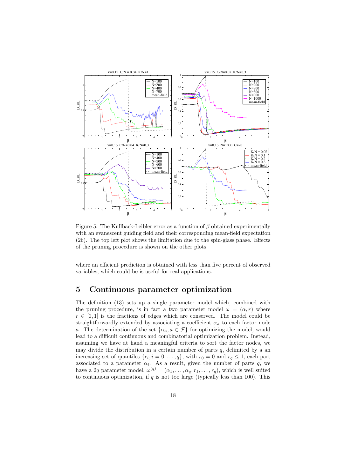

Figure 5: The Kullback-Leibler error as a function of  $\beta$  obtained experimentally with an evanescent guiding field and their corresponding mean-field expectation (26). The top left plot shows the limitation due to the spin-glass phase. Effects of the pruning procedure is shown on the other plots.

where an efficient prediction is obtained with less than five percent of observed variables, which could be is useful for real applications.

### 5 Continuous parameter optimization

The definition (13) sets up a single parameter model which, combined with the pruning procedure, is in fact a two parameter model  $\omega = (\alpha, r)$  where  $r \in [0, 1]$  is the fractions of edges which are conserved. The model could be straightforwardly extended by associating a coefficient  $\alpha_a$  to each factor node a. The determination of the set  $\{\alpha_a, a \in \mathcal{F}\}\$ for optimizing the model, would lead to a difficult continuous and combinatorial optimization problem. Instead, assuming we have at hand a meaningful criteria to sort the factor nodes, we may divide the distribution in a certain number of parts  $q$ , delimited by a an increasing set of quantiles  $\{r_i, i = 0, \ldots, q\}$ , with  $r_0 = 0$  and  $r_q \leq 1$ , each part associated to a parameter  $\alpha_i$ . As a result, given the number of parts q, we have a 2q parameter model,  $\omega^{(q)} = (\alpha_1, \ldots, \alpha_q, r_1, \ldots, r_q)$ , which is well suited to continuous optimization, if  $q$  is not too large (typically less than 100). This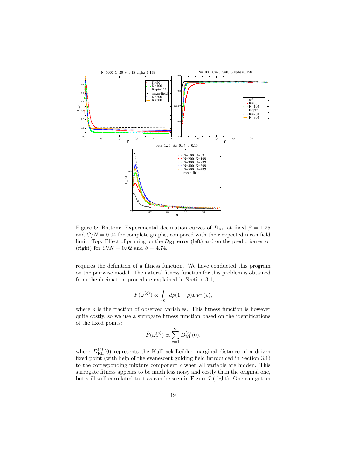

Figure 6: Bottom: Experimental decimation curves of  $D_{\text{KL}}$  at fixed  $\beta = 1.25$ and  $C/N = 0.04$  for complete graphs, compared with their expected mean-field limit. Top: Effect of pruning on the  $D_{KL}$  error (left) and on the prediction error (right) for  $C/N = 0.02$  and  $\beta = 4.74$ .

requires the definition of a fitness function. We have conducted this program on the pairwise model. The natural fitness function for this problem is obtained from the decimation procedure explained in Section 3.1,

$$
F(\omega^{(q)}) \propto \int_0^1 d\rho (1-\rho) D_{\text{KL}}(\rho),
$$

where  $\rho$  is the fraction of observed variables. This fitness function is however quite costly, so we use a surrogate fitness function based on the identifications of the fixed points:

$$
\tilde{F}(\omega_q^{(q)}) \propto \sum_{c=1}^C D_{\text{KL}}^{(c)}(0).
$$

where  $D_{\text{KL}}^{(c)}(0)$  represents the Kullback-Leibler marginal distance of a driven fixed point (with help of the evanescent guiding field introduced in Section 3.1) to the corresponding mixture component  $c$  when all variable are hidden. This surrogate fitness appears to be much less noisy and costly than the original one, but still well correlated to it as can be seen in Figure 7 (right). One can get an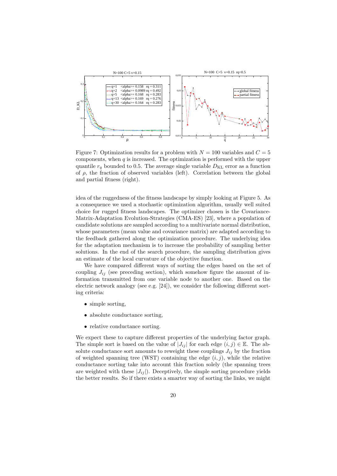

Figure 7: Optimization results for a problem with  $N = 100$  variables and  $C = 5$ components, when  $q$  is increased. The optimization is performed with the upper quantile  $r_q$  bounded to 0.5. The average single variable  $D_{\text{KL}}$  error as a function of  $\rho$ , the fraction of observed variables (left). Correlation between the global and partial fitness (right).

idea of the ruggedness of the fitness landscape by simply looking at Figure 5. As a consequence we used a stochastic optimization algorithm, usually well suited choice for rugged fitness landscapes. The optimizer chosen is the Covariance-Matrix-Adaptation Evolution-Strategies (CMA-ES) [23], where a population of candidate solutions are sampled according to a multivariate normal distribution, whose parameters (mean value and covariance matrix) are adapted according to the feedback gathered along the optimization procedure. The underlying idea for the adaptation mechanism is to increase the probability of sampling better solutions. In the end of the search procedure, the sampling distribution gives an estimate of the local curvature of the objective function.

We have compared different ways of sorting the edges based on the set of coupling  $J_{ij}$  (see preceding section), which somehow figure the amount of information transmitted from one variable node to another one. Based on the electric network analogy (see e.g. [24]), we consider the following different sorting criteria:

- simple sorting,
- absolute conductance sorting.
- relative conductance sorting.

We expect these to capture different properties of the underlying factor graph. The simple sort is based on the value of  $|J_{ij}|$  for each edge  $(i,j) \in \mathbb{E}$ . The absolute conductance sort amounts to reweight these couplings  $J_{ij}$  by the fraction of weighted spanning tree (WST) containing the edge  $(i, j)$ , while the relative conductance sorting take into account this fraction solely (the spanning trees are weighted with these  $|J_{ij}|$ ). Deceptively, the simple sorting procedure yields the better results. So if there exists a smarter way of sorting the links, we might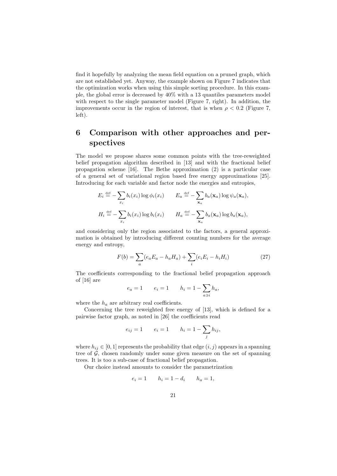find it hopefully by analyzing the mean field equation on a pruned graph, which are not established yet. Anyway, the example shown on Figure 7 indicates that the optimization works when using this simple sorting procedure. In this example, the global error is decreased by 40% with a 13 quantiles parameters model with respect to the single parameter model (Figure 7, right). In addition, the improvements occur in the region of interest, that is when  $\rho < 0.2$  (Figure 7, left).

## 6 Comparison with other approaches and perspectives

The model we propose shares some common points with the tree-reweighted belief propagation algorithm described in [13] and with the fractional belief propagation scheme [16]. The Bethe approximation (2) is a particular case of a general set of variational region based free energy approximations [25]. Introducing for each variable and factor node the energies and entropies,

$$
E_i \stackrel{\text{def}}{=} -\sum_{x_i} b_i(x_i) \log \phi_i(x_i) \qquad E_a \stackrel{\text{def}}{=} -\sum_{\mathbf{x}_a} b_a(\mathbf{x}_a) \log \psi_a(\mathbf{x}_a),
$$
  

$$
H_i \stackrel{\text{def}}{=} -\sum_{x_i} b_i(x_i) \log b_i(x_i) \qquad H_a \stackrel{\text{def}}{=} -\sum_{\mathbf{x}_a} b_a(\mathbf{x}_a) \log b_a(\mathbf{x}_a),
$$

and considering only the region associated to the factors, a general approximation is obtained by introducing different counting numbers for the average energy and entropy,

$$
F(b) = \sum_{a} (e_a E_a - h_a H_a) + \sum_{i} (e_i E_i - h_i H_i)
$$
 (27)

The coefficients corresponding to the fractional belief propagation approach of [16] are

$$
e_a = 1 \qquad e_i = 1 \qquad h_i = 1 - \sum_{a \ni i} h_a,
$$

where the  $h_a$  are arbitrary real coefficients.

Concerning the tree reweighted free energy of [13], which is defined for a pairwise factor graph, as noted in [26] the coefficients read

$$
e_{ij} = 1
$$
  $e_i = 1$   $h_i = 1 - \sum_j h_{ij},$ 

where  $h_{ij} \in [0,1]$  represents the probability that edge  $(i,j)$  appears in a spanning tree of  $\mathcal{G}$ , chosen randomly under some given measure on the set of spanning trees. It is too a sub-case of fractional belief propagation.

Our choice instead amounts to consider the parametrization

$$
e_i = 1 \qquad h_i = 1 - d_i \qquad h_a = 1,
$$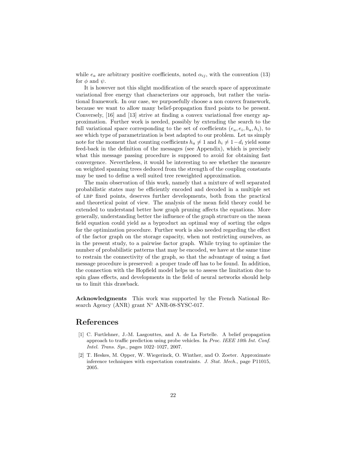while  $e_a$  are arbitrary positive coefficients, noted  $\alpha_{ij}$ , with the convention (13) for  $\phi$  and  $\psi$ .

It is however not this slight modification of the search space of approximate variational free energy that characterizes our approach, but rather the variational framework. In our case, we purposefully choose a non convex framework, because we want to allow many belief-propagation fixed points to be present. Conversely, [16] and [13] strive at finding a convex variational free energy approximation. Further work is needed, possibly by extending the search to the full variational space corresponding to the set of coefficients  $(e_a, e_i, h_a, h_i)$ , to see which type of parametrization is best adapted to our problem. Let us simply note for the moment that counting coefficients  $h_a \neq 1$  and  $h_i \neq 1 - d_i$  yield some feed-back in the definition of the messages (see Appendix), which is precisely what this message passing procedure is supposed to avoid for obtaining fast convergence. Nevertheless, it would be interesting to see whether the measure on weighted spanning trees deduced from the strength of the coupling constants may be used to define a well suited tree reweighted approximation.

The main observation of this work, namely that a mixture of well separated probabilistic states may be efficiently encoded and decoded in a multiple set of lbp fixed points, deserves further developments, both from the practical and theoretical point of view. The analysis of the mean field theory could be extended to understand better how graph pruning affects the equations. More generally, understanding better the influence of the graph structure on the mean field equation could yield as a byproduct an optimal way of sorting the edges for the optimization procedure. Further work is also needed regarding the effect of the factor graph on the storage capacity, when not restricting ourselves, as in the present study, to a pairwise factor graph. While trying to optimize the number of probabilistic patterns that may be encoded, we have at the same time to restrain the connectivity of the graph, so that the advantage of using a fast message procedure is preserved: a proper trade off has to be found. In addition, the connection with the Hopfield model helps us to assess the limitation due to spin glass effects, and developments in the field of neural networks should help us to limit this drawback.

Acknowledgments This work was supported by the French National Research Agency (ANR) grant N<sup>○</sup> ANR-08-SYSC-017.

## References

- [1] C. Furtlehner, J.-M. Lasgouttes, and A. de La Fortelle. A belief propagation approach to traffic prediction using probe vehicles. In *Proc. IEEE 10th Int. Conf. Intel. Trans. Sys.*, pages 1022–1027, 2007.
- [2] T. Heskes, M. Opper, W. Wiegerinck, O. Winther, and O. Zoeter. Approximate inference techniques with expectation constraints. *J. Stat. Mech.*, page P11015, 2005.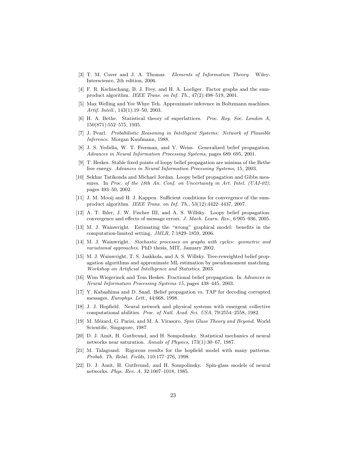- [3] T. M. Cover and J. A. Thomas. *Elements of Information Theory*. Wiley-Interscience, 2th edition, 2006.
- [4] F. R. Kschischang, B. J. Frey, and H. A. Loeliger. Factor graphs and the sumproduct algorithm. *IEEE Trans. on Inf. Th.*, 47(2):498–519, 2001.
- [5] Max Welling and Yee Whye Teh. Approximate inference in Boltzmann machines. *Artif. Intell.*, 143(1):19–50, 2003.
- [6] H. A. Bethe. Statistical theory of superlattices. *Proc. Roy. Soc. London A*, 150(871):552–575, 1935.
- [7] J. Pearl. *Probabilistic Reasoning in Intelligent Systems: Network of Plausible Inference*. Morgan Kaufmann, 1988.
- [8] J. S. Yedidia, W. T. Freeman, and Y. Weiss. Generalized belief propagation. *Advances in Neural Information Processing Systems*, pages 689–695, 2001.
- [9] T. Heskes. Stable fixed points of loopy belief propagation are minima of the Bethe free energy. *Advances in Neural Information Processing Systems*, 15, 2003.
- [10] Sekhar Tatikonda and Michael Jordan. Loopy belief propagation and Gibbs measures. In *Proc. of the 18th An. Conf. on Uncertainty in Art. Intel. (UAI-02)*, pages 493–50, 2002.
- [11] J. M. Mooij and H. J. Kappen. Sufficient conditions for convergence of the sumproduct algorithm. *IEEE Trans. on Inf. Th.*, 53(12):4422–4437, 2007.
- [12] A. T. Ihler, J. W. Fischer III, and A. S. Willsky. Loopy belief propagation: convergence and effects of message errors. *J. Mach. Learn. Res.*, 6:905–936, 2005.
- [13] M. J. Wainwright. Estimating the "wrong" graphical model: benefits in the computation-limited setting. *JMLR*, 7:1829–1859, 2006.
- [14] M. J. Wainwright. *Stochastic processes on graphs with cycles: geometric and variational approaches*. PhD thesis, MIT, January 2002.
- [15] M. J. Wainwright, T. S. Jaakkola, and A. S. Willsky. Tree-reweighted belief propagation algorithms and approximate ML estimation by pseudomoment matching. *Workshop on Artificial Intelligence and Statistics*, 2003.
- [16] Wim Wiegerinck and Tom Heskes. Fractional belief propagation. In *Advances in Neural Information Processing Systems 15*, pages 438–445, 2003.
- [17] Y. Kabashima and D. Saad. Belief propagation vs. TAP for decoding corrupted messages. *Europhys. Lett.*, 44:668, 1998.
- [18] J. J. Hopfield. Neural network and physical systems with emergent collective computational abilities. *Proc. of Natl. Acad. Sci. USA*, 79:2554–2558, 1982.
- [19] M. M´ezard, G. Parisi, and M. A. Virasoro. *Spin Glass Theory and Beyond*. World Scientific, Singapore, 1987.
- [20] D. J. Amit, H. Gutfreund, and H. Sompolinsky. Statistical mechanics of neural networks near saturation. *Annals of Physics*, 173(1):30–67, 1987.
- [21] M. Talagrand. Rigorous results for the hopfield model with many patterns. *Probab. Th. Relat. Fields*, 110:177–276, 1998.
- [22] D. J. Amit, H. Gutfreund, and H. Sompolinsky. Spin-glass models of neural networks. *Phys. Rev. A*, 32:1007–1018, 1985.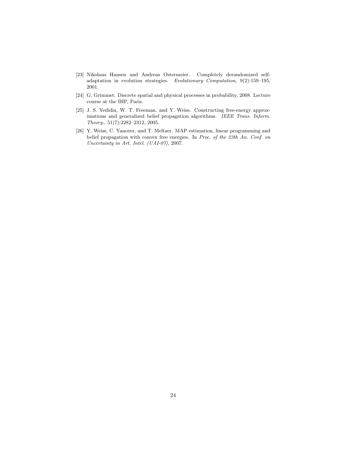- [23] Nikolaus Hansen and Andreas Ostermeier. Completely derandomized selfadaptation in evolution strategies. *Evolutionary Computation*, 9(2):159–195, 2001.
- [24] G. Grimmet. Discrete spatial and physical processes in probability, 2008. Lecture course at the IHP, Paris.
- [25] J. S. Yedidia, W. T. Freeman, and Y. Weiss. Constructing free-energy approximations and generalized belief propagation algorithms. *IEEE Trans. Inform. Theory.*, 51(7):2282–2312, 2005.
- [26] Y. Weiss, C. Yanover, and T. Meltzer. MAP estimation, linear programming and belief propagation with convex free energies. In *Proc. of the 23th An. Conf. on Uncertainty in Art. Intel. (UAI-07)*, 2007.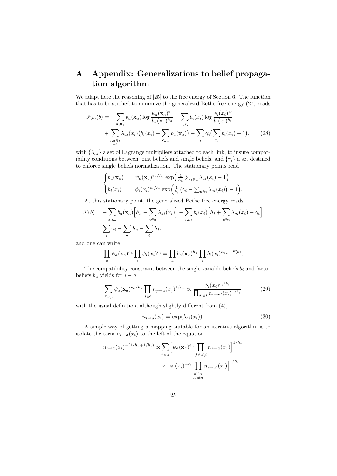## A Appendix: Generalizations to belief propagation algorithm

We adapt here the reasoning of [25] to the free energy of Section 6. The function that has to be studied to minimize the generalized Bethe free energy (27) reads

$$
\mathcal{F}_{\lambda\gamma}(b) = -\sum_{a,\mathbf{x}_a} b_a(\mathbf{x}_a) \log \frac{\psi_a(\mathbf{x}_a)^{e_a}}{b_a(\mathbf{x}_a)^{h_a}} - \sum_{i,x_i} b_i(x_i) \log \frac{\phi_i(x_i)^{e_i}}{b_i(x_i)^{h_i}} + \sum_{\substack{i,a \ni i \\ x_i}} \lambda_{ai}(x_i) (b_i(x_i) - \sum_{\mathbf{x}_a \setminus i} b_a(\mathbf{x}_a)) - \sum_i \gamma_i (\sum_{x_i} b_i(x_i) - 1), \tag{28}
$$

with  $\{\lambda_{ai}\}\$ a set of Lagrange multipliers attached to each link, to insure compatibility conditions between joint beliefs and single beliefs, and  $\{\gamma_i\}$  a set destined to enforce single beliefs normalization. The stationary points read

$$
\begin{cases} b_a(\mathbf{x}_a) = \psi_a(\mathbf{x}_a)^{e_a/h_a} \exp\left(\frac{1}{h_a} \sum_{i \in a} \lambda_{ai}(x_i) - 1\right), \\ b_i(x_i) = \phi_i(x_i)^{e_i/h_i} \exp\left(\frac{1}{h_i} \left(\gamma_i - \sum_{a \ni i} \lambda_{ai}(x_i)\right) - 1\right). \end{cases}
$$

At this stationary point, the generalized Bethe free energy reads

$$
\mathcal{F}(b) = -\sum_{a, \mathbf{x}_a} b_a(\mathbf{x}_a) \Big[ h_a - \sum_{i \in a} \lambda_{ai}(x_i) \Big] - \sum_{i, x_i} b_i(x_i) \Big[ h_i + \sum_{a \ni i} \lambda_{ai}(x_i) - \gamma_i \Big]
$$
  
=  $\sum_i \gamma_i - \sum_a h_a - \sum_i h_i.$ 

and one can write

$$
\prod_a \psi_a(\mathbf{x}_a)^{e_a} \prod_i \phi_i(x_i)^{e_i} = \prod_a b_a(\mathbf{x}_a)^{h_a} \prod_i b_i(x_i)^{h_i} e^{-\mathcal{F}(b)},
$$

The compatibility constraint between the single variable beliefs  $b_i$  and factor beliefs  $b_a$  yields for  $i \in a$ 

$$
\sum_{x_{a\backslash i}} \psi_a(\mathbf{x}_a)^{e_a/h_a} \prod_{j\in a} n_{j\to a}(x_j)^{1/h_a} \propto \frac{\phi_i(x_i)^{e_i/h_i}}{\prod_{a'\ni i} n_{i\to a'}(x_i)^{1/h_i}} \tag{29}
$$

with the usual definition, although slightly different from (4),

$$
n_{i \to a}(x_i) \stackrel{\text{def}}{=} \exp(\lambda_{ai}(x_i)). \tag{30}
$$

A simple way of getting a mapping suitable for an iterative algorithm is to isolate the term  $n_{i\rightarrow a}(x_i)$  to the left of the equation

$$
n_{i \to a}(x_i)^{-(1/h_a + 1/h_i)} \propto \sum_{x_{a\backslash i}} \left[ \psi_a(\mathbf{x}_a)^{e_a} \prod_{j \in a\backslash i} n_{j \to a}(x_j) \right]^{1/h_a}
$$

$$
\times \left[ \phi_i(x_i)^{-e_i} \prod_{\substack{a' \ni i \\ a' \neq a}} n_{i \to a'}(x_i) \right]^{1/h_i}.
$$